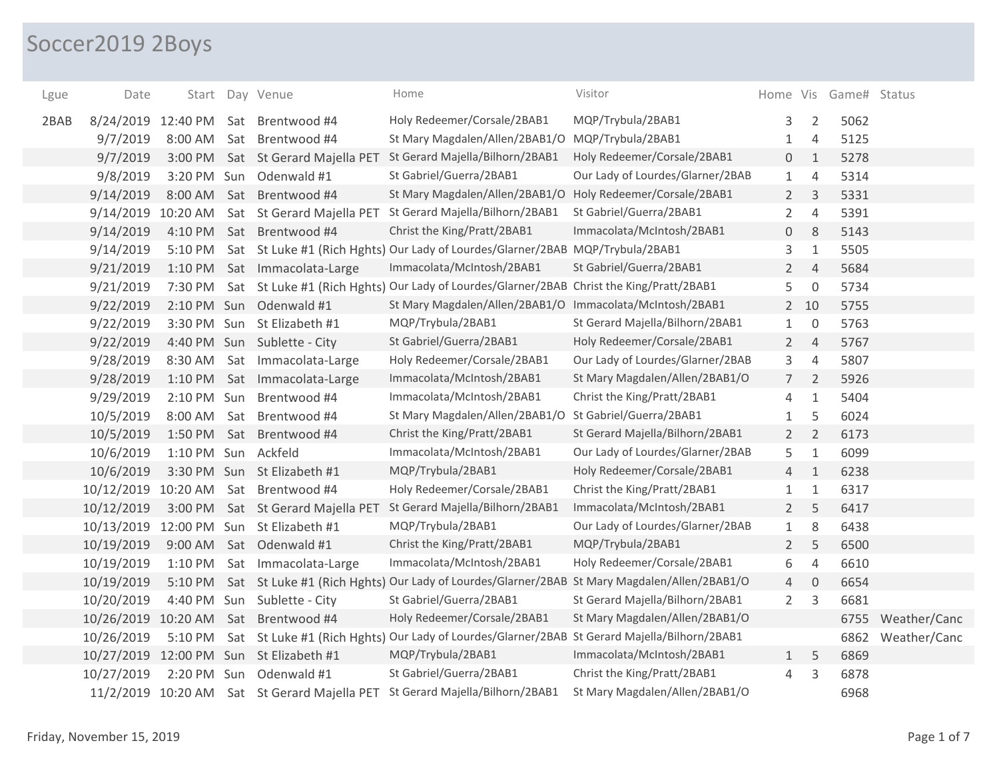## Soccer2019 2Boys

| Lgue | Date               |             |     | Start Day Venue                         | Home                                                                                                | Visitor                          |                |                | Home Vis Game# Status |              |
|------|--------------------|-------------|-----|-----------------------------------------|-----------------------------------------------------------------------------------------------------|----------------------------------|----------------|----------------|-----------------------|--------------|
| 2BAB | 8/24/2019 12:40 PM |             |     | Sat Brentwood #4                        | Holy Redeemer/Corsale/2BAB1                                                                         | MQP/Trybula/2BAB1                | 3              | $\overline{2}$ | 5062                  |              |
|      | 9/7/2019           | 8:00 AM     | Sat | Brentwood #4                            | St Mary Magdalen/Allen/2BAB1/O MQP/Trybula/2BAB1                                                    |                                  | 1              | 4              | 5125                  |              |
|      | 9/7/2019           | 3:00 PM     |     | Sat St Gerard Majella PET               | St Gerard Majella/Bilhorn/2BAB1                                                                     | Holy Redeemer/Corsale/2BAB1      | 0              | $\mathbf{1}$   | 5278                  |              |
|      | 9/8/2019           | 3:20 PM Sun |     | Odenwald #1                             | St Gabriel/Guerra/2BAB1                                                                             | Our Lady of Lourdes/Glarner/2BAB | $\mathbf{1}$   | $\overline{4}$ | 5314                  |              |
|      | 9/14/2019          | 8:00 AM     |     | Sat Brentwood #4                        | St Mary Magdalen/Allen/2BAB1/O Holy Redeemer/Corsale/2BAB1                                          |                                  | $2^{\circ}$    | 3              | 5331                  |              |
|      | 9/14/2019          | 10:20 AM    |     | Sat St Gerard Majella PET               | St Gerard Majella/Bilhorn/2BAB1                                                                     | St Gabriel/Guerra/2BAB1          | $\overline{2}$ | $\overline{4}$ | 5391                  |              |
|      | 9/14/2019          |             |     | 4:10 PM Sat Brentwood #4                | Christ the King/Pratt/2BAB1                                                                         | Immacolata/McIntosh/2BAB1        | 0              | 8              | 5143                  |              |
|      | 9/14/2019          | 5:10 PM     |     |                                         | Sat St Luke #1 (Rich Hghts) Our Lady of Lourdes/Glarner/2BAB MQP/Trybula/2BAB1                      |                                  | 3              | $\mathbf{1}$   | 5505                  |              |
|      | 9/21/2019          |             |     | 1:10 PM Sat Immacolata-Large            | Immacolata/McIntosh/2BAB1                                                                           | St Gabriel/Guerra/2BAB1          | $\overline{2}$ | $\overline{4}$ | 5684                  |              |
|      | 9/21/2019          | 7:30 PM     |     |                                         | Sat St Luke #1 (Rich Hghts) Our Lady of Lourdes/Glarner/2BAB Christ the King/Pratt/2BAB1            |                                  | 5              | $\mathbf 0$    | 5734                  |              |
|      | 9/22/2019          |             |     | 2:10 PM Sun Odenwald #1                 | St Mary Magdalen/Allen/2BAB1/O Immacolata/McIntosh/2BAB1                                            |                                  |                | $2 10$         | 5755                  |              |
|      | 9/22/2019          |             |     | 3:30 PM Sun St Elizabeth #1             | MQP/Trybula/2BAB1                                                                                   | St Gerard Majella/Bilhorn/2BAB1  | $\mathbf{1}$   | $\overline{0}$ | 5763                  |              |
|      | 9/22/2019          |             |     | 4:40 PM Sun Sublette - City             | St Gabriel/Guerra/2BAB1                                                                             | Holy Redeemer/Corsale/2BAB1      | $2^{\circ}$    | $\overline{4}$ | 5767                  |              |
|      | 9/28/2019          | 8:30 AM     | Sat | Immacolata-Large                        | Holy Redeemer/Corsale/2BAB1                                                                         | Our Lady of Lourdes/Glarner/2BAB | 3              | $\sqrt{4}$     | 5807                  |              |
|      | 9/28/2019          | 1:10 PM     |     | Sat Immacolata-Large                    | Immacolata/McIntosh/2BAB1                                                                           | St Mary Magdalen/Allen/2BAB1/O   | $\overline{7}$ | $\overline{2}$ | 5926                  |              |
|      | 9/29/2019          | 2:10 PM Sun |     | Brentwood #4                            | Immacolata/McIntosh/2BAB1                                                                           | Christ the King/Pratt/2BAB1      | 4              | $\mathbf{1}$   | 5404                  |              |
|      | 10/5/2019          | 8:00 AM Sat |     | Brentwood #4                            | St Mary Magdalen/Allen/2BAB1/O                                                                      | St Gabriel/Guerra/2BAB1          | 1              | 5              | 6024                  |              |
|      | 10/5/2019          | 1:50 PM     |     | Sat Brentwood #4                        | Christ the King/Pratt/2BAB1                                                                         | St Gerard Majella/Bilhorn/2BAB1  | $\overline{2}$ | $\overline{2}$ | 6173                  |              |
|      | 10/6/2019          | 1:10 PM Sun |     | Ackfeld                                 | Immacolata/McIntosh/2BAB1                                                                           | Our Lady of Lourdes/Glarner/2BAB | 5              | $1\,$          | 6099                  |              |
|      | 10/6/2019          |             |     | 3:30 PM Sun St Elizabeth #1             | MQP/Trybula/2BAB1                                                                                   | Holy Redeemer/Corsale/2BAB1      | $\overline{4}$ | $\mathbf{1}$   | 6238                  |              |
|      | 10/12/2019         | 10:20 AM    |     | Sat Brentwood #4                        | Holy Redeemer/Corsale/2BAB1                                                                         | Christ the King/Pratt/2BAB1      | $\mathbf 1$    | $\mathbf{1}$   | 6317                  |              |
|      | 10/12/2019         |             |     | 3:00 PM Sat St Gerard Majella PET       | St Gerard Majella/Bilhorn/2BAB1                                                                     | Immacolata/McIntosh/2BAB1        | $\overline{2}$ | 5              | 6417                  |              |
|      | 10/13/2019         |             |     | 12:00 PM Sun St Elizabeth #1            | MQP/Trybula/2BAB1                                                                                   | Our Lady of Lourdes/Glarner/2BAB | $\mathbf{1}$   | 8              | 6438                  |              |
|      | 10/19/2019         |             |     | 9:00 AM Sat Odenwald #1                 | Christ the King/Pratt/2BAB1                                                                         | MQP/Trybula/2BAB1                | $\overline{2}$ | 5              | 6500                  |              |
|      | 10/19/2019         | 1:10 PM     |     | Sat Immacolata-Large                    | Immacolata/McIntosh/2BAB1                                                                           | Holy Redeemer/Corsale/2BAB1      | 6              | $\sqrt{4}$     | 6610                  |              |
|      | 10/19/2019         |             |     |                                         | 5:10 PM Sat St Luke #1 (Rich Hghts) Our Lady of Lourdes/Glarner/2BAB St Mary Magdalen/Allen/2BAB1/O |                                  | 4              | $\overline{0}$ | 6654                  |              |
|      | 10/20/2019         |             |     | 4:40 PM Sun Sublette - City             | St Gabriel/Guerra/2BAB1                                                                             | St Gerard Majella/Bilhorn/2BAB1  | $\overline{2}$ | 3              | 6681                  |              |
|      |                    |             |     | 10/26/2019 10:20 AM Sat Brentwood #4    | Holy Redeemer/Corsale/2BAB1                                                                         | St Mary Magdalen/Allen/2BAB1/O   |                |                | 6755                  | Weather/Canc |
|      | 10/26/2019         | 5:10 PM     |     |                                         | Sat St Luke #1 (Rich Hghts) Our Lady of Lourdes/Glarner/2BAB St Gerard Majella/Bilhorn/2BAB1        |                                  |                |                | 6862                  | Weather/Canc |
|      |                    |             |     | 10/27/2019 12:00 PM Sun St Elizabeth #1 | MQP/Trybula/2BAB1                                                                                   | Immacolata/McIntosh/2BAB1        | $\mathbf{1}$   | 5              | 6869                  |              |
|      | 10/27/2019         | 2:20 PM Sun |     | Odenwald #1                             | St Gabriel/Guerra/2BAB1                                                                             | Christ the King/Pratt/2BAB1      | 4              | 3              | 6878                  |              |
|      |                    |             |     |                                         | 11/2/2019 10:20 AM Sat St Gerard Majella PET St Gerard Majella/Bilhorn/2BAB1                        | St Mary Magdalen/Allen/2BAB1/O   |                |                | 6968                  |              |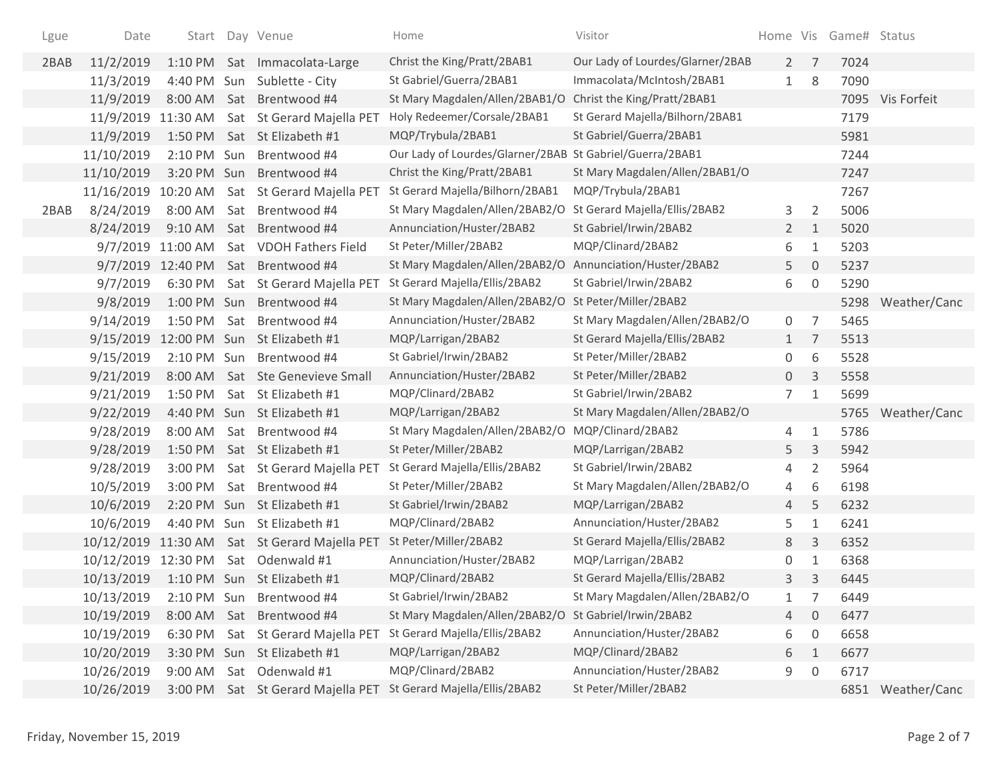| Lgue | Date               |                   |     | Start Day Venue                    | Home                                                     | Visitor                          |                |                | Home Vis Game# Status |                   |
|------|--------------------|-------------------|-----|------------------------------------|----------------------------------------------------------|----------------------------------|----------------|----------------|-----------------------|-------------------|
| 2BAB | 11/2/2019          |                   |     | 1:10 PM Sat Immacolata-Large       | Christ the King/Pratt/2BAB1                              | Our Lady of Lourdes/Glarner/2BAB | $2^{\circ}$    | 7              | 7024                  |                   |
|      | 11/3/2019          | 4:40 PM Sun       |     | Sublette - City                    | St Gabriel/Guerra/2BAB1                                  | Immacolata/McIntosh/2BAB1        | $\mathbf{1}$   | 8              | 7090                  |                   |
|      | 11/9/2019          | 8:00 AM           | Sat | Brentwood #4                       | St Mary Magdalen/Allen/2BAB1/O                           | Christ the King/Pratt/2BAB1      |                |                |                       | 7095 Vis Forfeit  |
|      | 11/9/2019 11:30 AM |                   |     | Sat St Gerard Majella PET          | Holy Redeemer/Corsale/2BAB1                              | St Gerard Majella/Bilhorn/2BAB1  |                |                | 7179                  |                   |
|      | 11/9/2019          | 1:50 PM           |     | Sat St Elizabeth #1                | MQP/Trybula/2BAB1                                        | St Gabriel/Guerra/2BAB1          |                |                | 5981                  |                   |
|      | 11/10/2019         | 2:10 PM Sun       |     | Brentwood #4                       | Our Lady of Lourdes/Glarner/2BAB St Gabriel/Guerra/2BAB1 |                                  |                |                | 7244                  |                   |
|      | 11/10/2019         | 3:20 PM Sun       |     | Brentwood #4                       | Christ the King/Pratt/2BAB1                              | St Mary Magdalen/Allen/2BAB1/O   |                |                | 7247                  |                   |
|      | 11/16/2019         | 10:20 AM          |     | Sat St Gerard Majella PET          | St Gerard Majella/Bilhorn/2BAB1                          | MQP/Trybula/2BAB1                |                |                | 7267                  |                   |
| 2BAB | 8/24/2019          | 8:00 AM           | Sat | Brentwood #4                       | St Mary Magdalen/Allen/2BAB2/O                           | St Gerard Majella/Ellis/2BAB2    | 3              | 2              | 5006                  |                   |
|      | 8/24/2019          | 9:10 AM           | Sat | Brentwood #4                       | Annunciation/Huster/2BAB2                                | St Gabriel/Irwin/2BAB2           | $2^{\circ}$    | 1              | 5020                  |                   |
|      |                    | 9/7/2019 11:00 AM |     | Sat VDOH Fathers Field             | St Peter/Miller/2BAB2                                    | MQP/Clinard/2BAB2                | 6              | 1              | 5203                  |                   |
|      |                    | 9/7/2019 12:40 PM | Sat | Brentwood #4                       | St Mary Magdalen/Allen/2BAB2/O                           | Annunciation/Huster/2BAB2        | 5              | $\overline{0}$ | 5237                  |                   |
|      | 9/7/2019           | 6:30 PM           |     | Sat St Gerard Majella PET          | St Gerard Majella/Ellis/2BAB2                            | St Gabriel/Irwin/2BAB2           | 6              | $\mathbf 0$    | 5290                  |                   |
|      | 9/8/2019           | 1:00 PM Sun       |     | Brentwood #4                       | St Mary Magdalen/Allen/2BAB2/O                           | St Peter/Miller/2BAB2            |                |                | 5298                  | Weather/Canc      |
|      | 9/14/2019          | 1:50 PM           | Sat | Brentwood #4                       | Annunciation/Huster/2BAB2                                | St Mary Magdalen/Allen/2BAB2/O   | 0              | 7              | 5465                  |                   |
|      | 9/15/2019          |                   |     | 12:00 PM Sun St Elizabeth #1       | MQP/Larrigan/2BAB2                                       | St Gerard Majella/Ellis/2BAB2    | $\mathbf{1}$   | 7              | 5513                  |                   |
|      | 9/15/2019          | 2:10 PM Sun       |     | Brentwood #4                       | St Gabriel/Irwin/2BAB2                                   | St Peter/Miller/2BAB2            | 0              | 6              | 5528                  |                   |
|      | 9/21/2019          | 8:00 AM           |     | Sat Ste Genevieve Small            | Annunciation/Huster/2BAB2                                | St Peter/Miller/2BAB2            | 0              | 3              | 5558                  |                   |
|      | 9/21/2019          | 1:50 PM           | Sat | St Elizabeth #1                    | MQP/Clinard/2BAB2                                        | St Gabriel/Irwin/2BAB2           | 7 <sup>7</sup> | 1              | 5699                  |                   |
|      | 9/22/2019          |                   |     | 4:40 PM Sun St Elizabeth #1        | MQP/Larrigan/2BAB2                                       | St Mary Magdalen/Allen/2BAB2/O   |                |                | 5765                  | Weather/Canc      |
|      | 9/28/2019          | 8:00 AM           | Sat | Brentwood #4                       | St Mary Magdalen/Allen/2BAB2/O                           | MQP/Clinard/2BAB2                | 4              | $\mathbf{1}$   | 5786                  |                   |
|      | 9/28/2019          | 1:50 PM           |     | Sat St Elizabeth #1                | St Peter/Miller/2BAB2                                    | MQP/Larrigan/2BAB2               | 5              | 3              | 5942                  |                   |
|      | 9/28/2019          | 3:00 PM           |     | Sat St Gerard Majella PET          | St Gerard Majella/Ellis/2BAB2                            | St Gabriel/Irwin/2BAB2           | 4              | 2              | 5964                  |                   |
|      | 10/5/2019          | 3:00 PM           |     | Sat Brentwood #4                   | St Peter/Miller/2BAB2                                    | St Mary Magdalen/Allen/2BAB2/O   | 4              | 6              | 6198                  |                   |
|      | 10/6/2019          |                   |     | 2:20 PM Sun St Elizabeth #1        | St Gabriel/Irwin/2BAB2                                   | MQP/Larrigan/2BAB2               | 4              | 5              | 6232                  |                   |
|      | 10/6/2019          | 4:40 PM Sun       |     | St Elizabeth #1                    | MQP/Clinard/2BAB2                                        | Annunciation/Huster/2BAB2        | 5              | $\mathbf{1}$   | 6241                  |                   |
|      | 10/12/2019         |                   |     | 11:30 AM Sat St Gerard Majella PET | St Peter/Miller/2BAB2                                    | St Gerard Majella/Ellis/2BAB2    | 8              | 3              | 6352                  |                   |
|      | 10/12/2019         | 12:30 PM          | Sat | Odenwald #1                        | Annunciation/Huster/2BAB2                                | MQP/Larrigan/2BAB2               | 0              | 1              | 6368                  |                   |
|      | 10/13/2019         |                   |     | 1:10 PM Sun St Elizabeth #1        | MQP/Clinard/2BAB2                                        | St Gerard Majella/Ellis/2BAB2    | 3              | 3              | 6445                  |                   |
|      | 10/13/2019         |                   |     | 2:10 PM Sun Brentwood #4           | St Gabriel/Irwin/2BAB2                                   | St Mary Magdalen/Allen/2BAB2/O   |                |                | 6449                  |                   |
|      | 10/19/2019         | 8:00 AM           |     | Sat Brentwood #4                   | St Mary Magdalen/Allen/2BAB2/O                           | St Gabriel/Irwin/2BAB2           | 4              | $\mathbf 0$    | 6477                  |                   |
|      | 10/19/2019         | 6:30 PM           |     | Sat St Gerard Majella PET          | St Gerard Majella/Ellis/2BAB2                            | Annunciation/Huster/2BAB2        | 6              | 0              | 6658                  |                   |
|      | 10/20/2019         |                   |     | 3:30 PM Sun St Elizabeth #1        | MQP/Larrigan/2BAB2                                       | MQP/Clinard/2BAB2                | 6              | 1              | 6677                  |                   |
|      | 10/26/2019         | 9:00 AM           |     | Sat Odenwald #1                    | MQP/Clinard/2BAB2                                        | Annunciation/Huster/2BAB2        | 9              | 0              | 6717                  |                   |
|      | 10/26/2019         |                   |     | 3:00 PM Sat St Gerard Majella PET  | St Gerard Majella/Ellis/2BAB2                            | St Peter/Miller/2BAB2            |                |                |                       | 6851 Weather/Canc |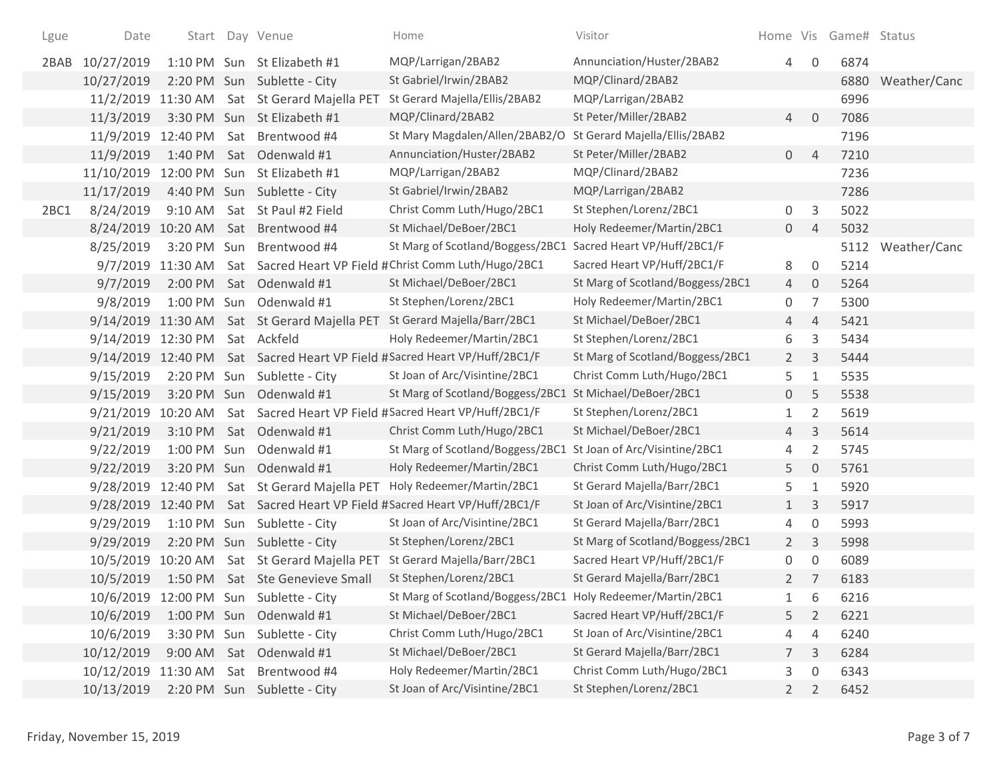| Lgue | Date                           |  | Start Day Venue                              | Home                                                                      | Visitor                          |                |                | Home Vis Game# Status |                   |
|------|--------------------------------|--|----------------------------------------------|---------------------------------------------------------------------------|----------------------------------|----------------|----------------|-----------------------|-------------------|
| 2BAB | 10/27/2019                     |  | 1:10 PM Sun St Elizabeth #1                  | MQP/Larrigan/2BAB2                                                        | Annunciation/Huster/2BAB2        | 4              | 0              | 6874                  |                   |
|      | 10/27/2019                     |  | 2:20 PM Sun Sublette - City                  | St Gabriel/Irwin/2BAB2                                                    | MQP/Clinard/2BAB2                |                |                | 6880                  | Weather/Canc      |
|      |                                |  | 11/2/2019 11:30 AM Sat St Gerard Majella PET | St Gerard Majella/Ellis/2BAB2                                             | MQP/Larrigan/2BAB2               |                |                | 6996                  |                   |
|      | 11/3/2019                      |  | 3:30 PM Sun St Elizabeth #1                  | MQP/Clinard/2BAB2                                                         | St Peter/Miller/2BAB2            | $\overline{4}$ | $\overline{0}$ | 7086                  |                   |
|      |                                |  | 11/9/2019 12:40 PM Sat Brentwood #4          | St Mary Magdalen/Allen/2BAB2/O                                            | St Gerard Majella/Ellis/2BAB2    |                |                | 7196                  |                   |
|      | 11/9/2019                      |  | 1:40 PM Sat Odenwald #1                      | Annunciation/Huster/2BAB2                                                 | St Peter/Miller/2BAB2            | $\overline{0}$ | $\overline{4}$ | 7210                  |                   |
|      |                                |  | 11/10/2019 12:00 PM Sun St Elizabeth #1      | MQP/Larrigan/2BAB2                                                        | MQP/Clinard/2BAB2                |                |                | 7236                  |                   |
|      | 11/17/2019                     |  | 4:40 PM Sun Sublette - City                  | St Gabriel/Irwin/2BAB2                                                    | MQP/Larrigan/2BAB2               |                |                | 7286                  |                   |
| 2BC1 | 8/24/2019                      |  | 9:10 AM Sat St Paul #2 Field                 | Christ Comm Luth/Hugo/2BC1                                                | St Stephen/Lorenz/2BC1           | 0              | 3              | 5022                  |                   |
|      |                                |  | 8/24/2019 10:20 AM Sat Brentwood #4          | St Michael/DeBoer/2BC1                                                    | Holy Redeemer/Martin/2BC1        | $\overline{0}$ | $\overline{4}$ | 5032                  |                   |
|      | 8/25/2019                      |  | 3:20 PM Sun Brentwood #4                     | St Marg of Scotland/Boggess/2BC1                                          | Sacred Heart VP/Huff/2BC1/F      |                |                |                       | 5112 Weather/Canc |
|      |                                |  |                                              | 9/7/2019 11:30 AM Sat Sacred Heart VP Field #Christ Comm Luth/Hugo/2BC1   | Sacred Heart VP/Huff/2BC1/F      | 8              | $\mathbf 0$    | 5214                  |                   |
|      | 9/7/2019                       |  | 2:00 PM Sat Odenwald #1                      | St Michael/DeBoer/2BC1                                                    | St Marg of Scotland/Boggess/2BC1 | $\overline{4}$ | $\overline{0}$ | 5264                  |                   |
|      | 9/8/2019                       |  | 1:00 PM Sun Odenwald #1                      | St Stephen/Lorenz/2BC1                                                    | Holy Redeemer/Martin/2BC1        | 0              | $\overline{7}$ | 5300                  |                   |
|      |                                |  |                                              | 9/14/2019 11:30 AM Sat St Gerard Majella PET St Gerard Majella/Barr/2BC1  | St Michael/DeBoer/2BC1           | 4              | $\overline{4}$ | 5421                  |                   |
|      | 9/14/2019 12:30 PM Sat Ackfeld |  |                                              | Holy Redeemer/Martin/2BC1                                                 | St Stephen/Lorenz/2BC1           | 6              | 3              | 5434                  |                   |
|      |                                |  |                                              | 9/14/2019 12:40 PM Sat Sacred Heart VP Field #Sacred Heart VP/Huff/2BC1/F | St Marg of Scotland/Boggess/2BC1 | $\overline{2}$ | $\mathsf{3}$   | 5444                  |                   |
|      | 9/15/2019                      |  | 2:20 PM Sun Sublette - City                  | St Joan of Arc/Visintine/2BC1                                             | Christ Comm Luth/Hugo/2BC1       | 5              | 1              | 5535                  |                   |
|      | 9/15/2019                      |  | 3:20 PM Sun Odenwald #1                      | St Marg of Scotland/Boggess/2BC1                                          | St Michael/DeBoer/2BC1           | $\overline{0}$ | 5              | 5538                  |                   |
|      |                                |  |                                              | 9/21/2019 10:20 AM Sat Sacred Heart VP Field #Sacred Heart VP/Huff/2BC1/F | St Stephen/Lorenz/2BC1           | $\mathbf{1}$   | 2              | 5619                  |                   |
|      | 9/21/2019                      |  | 3:10 PM Sat Odenwald #1                      | Christ Comm Luth/Hugo/2BC1                                                | St Michael/DeBoer/2BC1           | $\overline{4}$ | 3              | 5614                  |                   |
|      | 9/22/2019                      |  | 1:00 PM Sun Odenwald #1                      | St Marg of Scotland/Boggess/2BC1                                          | St Joan of Arc/Visintine/2BC1    | 4              | $\overline{2}$ | 5745                  |                   |
|      | 9/22/2019                      |  | 3:20 PM Sun Odenwald #1                      | Holy Redeemer/Martin/2BC1                                                 | Christ Comm Luth/Hugo/2BC1       | 5              | $\mathbf{0}$   | 5761                  |                   |
|      |                                |  | 9/28/2019 12:40 PM Sat St Gerard Majella PET | Holy Redeemer/Martin/2BC1                                                 | St Gerard Majella/Barr/2BC1      | 5              | 1              | 5920                  |                   |
|      |                                |  |                                              | 9/28/2019 12:40 PM Sat Sacred Heart VP Field #Sacred Heart VP/Huff/2BC1/F | St Joan of Arc/Visintine/2BC1    | 1              | 3              | 5917                  |                   |
|      | 9/29/2019                      |  | 1:10 PM Sun Sublette - City                  | St Joan of Arc/Visintine/2BC1                                             | St Gerard Majella/Barr/2BC1      | 4              | $\mathbf 0$    | 5993                  |                   |
|      | 9/29/2019                      |  | 2:20 PM Sun Sublette - City                  | St Stephen/Lorenz/2BC1                                                    | St Marg of Scotland/Boggess/2BC1 | $\mathbf{2}$   | 3              | 5998                  |                   |
|      |                                |  | 10/5/2019 10:20 AM Sat St Gerard Majella PET | St Gerard Majella/Barr/2BC1                                               | Sacred Heart VP/Huff/2BC1/F      | 0              | $\mathbf 0$    | 6089                  |                   |
|      | 10/5/2019                      |  | 1:50 PM Sat Ste Genevieve Small              | St Stephen/Lorenz/2BC1                                                    | St Gerard Majella/Barr/2BC1      | $2^{\circ}$    | 7              | 6183                  |                   |
|      |                                |  | 10/6/2019 12:00 PM Sun Sublette - City       | St Marg of Scotland/Boggess/2BC1 Holy Redeemer/Martin/2BC1                |                                  | 1              | 6              | 6216                  |                   |
|      | 10/6/2019                      |  | 1:00 PM Sun Odenwald #1                      | St Michael/DeBoer/2BC1                                                    | Sacred Heart VP/Huff/2BC1/F      | 5              | $\overline{2}$ | 6221                  |                   |
|      | 10/6/2019                      |  | 3:30 PM Sun Sublette - City                  | Christ Comm Luth/Hugo/2BC1                                                | St Joan of Arc/Visintine/2BC1    | 4              | $\overline{4}$ | 6240                  |                   |
|      | 10/12/2019                     |  | 9:00 AM Sat Odenwald #1                      | St Michael/DeBoer/2BC1                                                    | St Gerard Majella/Barr/2BC1      | $7^{\circ}$    | 3              | 6284                  |                   |
|      |                                |  | 10/12/2019 11:30 AM Sat Brentwood #4         | Holy Redeemer/Martin/2BC1                                                 | Christ Comm Luth/Hugo/2BC1       | 3              | $\mathbf 0$    | 6343                  |                   |
|      | 10/13/2019                     |  | 2:20 PM Sun Sublette - City                  | St Joan of Arc/Visintine/2BC1                                             | St Stephen/Lorenz/2BC1           | $2^{\circ}$    | 2              | 6452                  |                   |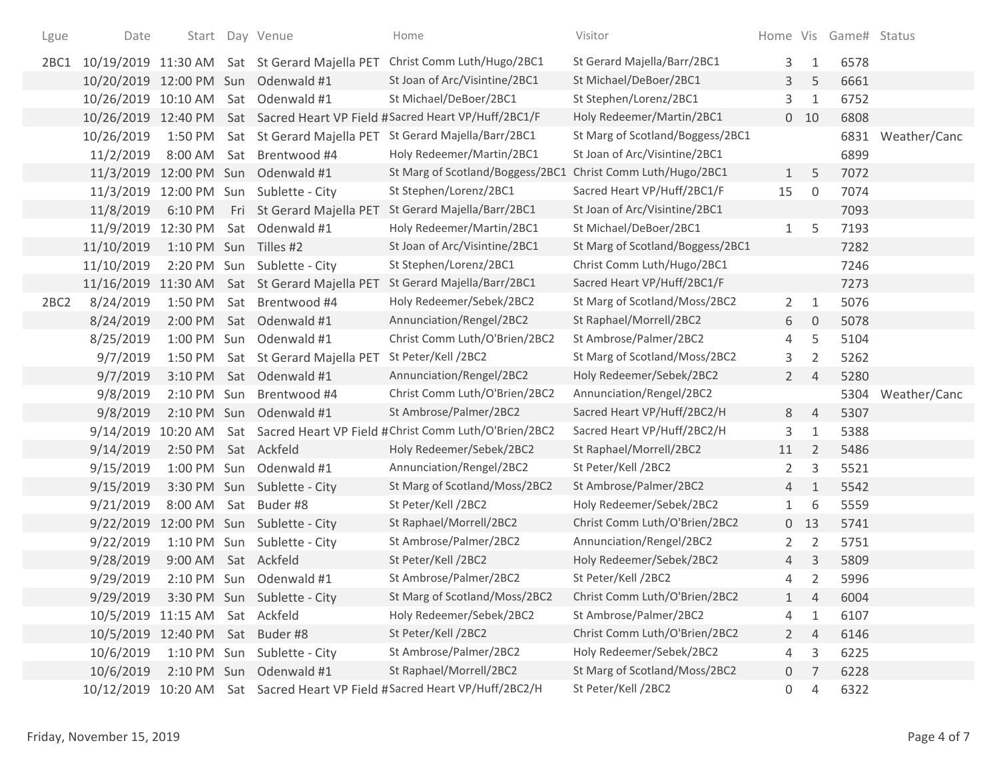| Lgue             | Date                            |                       | Start Day Venue                               | Home                                                                       | Visitor                          |                |                | Home Vis Game# Status |              |
|------------------|---------------------------------|-----------------------|-----------------------------------------------|----------------------------------------------------------------------------|----------------------------------|----------------|----------------|-----------------------|--------------|
| 2BC1             |                                 |                       |                                               | 10/19/2019 11:30 AM Sat St Gerard Majella PET Christ Comm Luth/Hugo/2BC1   | St Gerard Majella/Barr/2BC1      | 3              | 1              | 6578                  |              |
|                  |                                 |                       | 10/20/2019 12:00 PM Sun Odenwald #1           | St Joan of Arc/Visintine/2BC1                                              | St Michael/DeBoer/2BC1           | 3              | 5              | 6661                  |              |
|                  | 10/26/2019 10:10 AM             |                       | Sat Odenwald #1                               | St Michael/DeBoer/2BC1                                                     | St Stephen/Lorenz/2BC1           | 3              | $\mathbf{1}$   | 6752                  |              |
|                  | 10/26/2019 12:40 PM             |                       |                                               | Sat Sacred Heart VP Field #Sacred Heart VP/Huff/2BC1/F                     | Holy Redeemer/Martin/2BC1        |                | $0$ 10         | 6808                  |              |
|                  | 10/26/2019                      | 1:50 PM               | Sat St Gerard Majella PET                     | St Gerard Majella/Barr/2BC1                                                | St Marg of Scotland/Boggess/2BC1 |                |                | 6831                  | Weather/Canc |
|                  | 11/2/2019                       | 8:00 AM               | Sat Brentwood #4                              | Holy Redeemer/Martin/2BC1                                                  | St Joan of Arc/Visintine/2BC1    |                |                | 6899                  |              |
|                  |                                 |                       | 11/3/2019 12:00 PM Sun Odenwald #1            | St Marg of Scotland/Boggess/2BC1                                           | Christ Comm Luth/Hugo/2BC1       | $\mathbf{1}$   | 5              | 7072                  |              |
|                  |                                 |                       | 11/3/2019 12:00 PM Sun Sublette - City        | St Stephen/Lorenz/2BC1                                                     | Sacred Heart VP/Huff/2BC1/F      | 15             | $\mathbf 0$    | 7074                  |              |
|                  | 11/8/2019                       | 6:10 PM               | Fri St Gerard Majella PET                     | St Gerard Majella/Barr/2BC1                                                | St Joan of Arc/Visintine/2BC1    |                |                | 7093                  |              |
|                  | 11/9/2019                       | 12:30 PM              | Sat Odenwald #1                               | Holy Redeemer/Martin/2BC1                                                  | St Michael/DeBoer/2BC1           | $\mathbf{1}$   | 5              | 7193                  |              |
|                  | 11/10/2019                      | 1:10 PM Sun Tilles #2 |                                               | St Joan of Arc/Visintine/2BC1                                              | St Marg of Scotland/Boggess/2BC1 |                |                | 7282                  |              |
|                  | 11/10/2019                      |                       | 2:20 PM Sun Sublette - City                   | St Stephen/Lorenz/2BC1                                                     | Christ Comm Luth/Hugo/2BC1       |                |                | 7246                  |              |
|                  |                                 |                       | 11/16/2019 11:30 AM Sat St Gerard Majella PET | St Gerard Majella/Barr/2BC1                                                | Sacred Heart VP/Huff/2BC1/F      |                |                | 7273                  |              |
| 2BC <sub>2</sub> | 8/24/2019                       | 1:50 PM               | Sat Brentwood #4                              | Holy Redeemer/Sebek/2BC2                                                   | St Marg of Scotland/Moss/2BC2    | $\overline{2}$ | 1              | 5076                  |              |
|                  | 8/24/2019                       | 2:00 PM               | Sat Odenwald #1                               | Annunciation/Rengel/2BC2                                                   | St Raphael/Morrell/2BC2          | 6              | $\mathbf 0$    | 5078                  |              |
|                  | 8/25/2019                       |                       | 1:00 PM Sun Odenwald #1                       | Christ Comm Luth/O'Brien/2BC2                                              | St Ambrose/Palmer/2BC2           | 4              | 5              | 5104                  |              |
|                  | 9/7/2019                        | 1:50 PM               | Sat St Gerard Majella PET                     | St Peter/Kell /2BC2                                                        | St Marg of Scotland/Moss/2BC2    | 3              | $\overline{2}$ | 5262                  |              |
|                  | 9/7/2019                        | 3:10 PM               | Sat Odenwald #1                               | Annunciation/Rengel/2BC2                                                   | Holy Redeemer/Sebek/2BC2         | $\overline{2}$ | $\overline{4}$ | 5280                  |              |
|                  | 9/8/2019                        | 2:10 PM Sun           | Brentwood #4                                  | Christ Comm Luth/O'Brien/2BC2                                              | Annunciation/Rengel/2BC2         |                |                | 5304                  | Weather/Canc |
|                  | 9/8/2019                        | 2:10 PM Sun           | Odenwald #1                                   | St Ambrose/Palmer/2BC2                                                     | Sacred Heart VP/Huff/2BC2/H      | 8              | $\overline{4}$ | 5307                  |              |
|                  | 9/14/2019 10:20 AM              |                       |                                               | Sat Sacred Heart VP Field #Christ Comm Luth/O'Brien/2BC2                   | Sacred Heart VP/Huff/2BC2/H      | 3              | 1              | 5388                  |              |
|                  | 9/14/2019                       | 2:50 PM Sat Ackfeld   |                                               | Holy Redeemer/Sebek/2BC2                                                   | St Raphael/Morrell/2BC2          | 11             | $\overline{2}$ | 5486                  |              |
|                  | 9/15/2019                       |                       | 1:00 PM Sun Odenwald #1                       | Annunciation/Rengel/2BC2                                                   | St Peter/Kell /2BC2              | 2              | 3              | 5521                  |              |
|                  | 9/15/2019                       |                       | 3:30 PM Sun Sublette - City                   | St Marg of Scotland/Moss/2BC2                                              | St Ambrose/Palmer/2BC2           | $\overline{4}$ | $\mathbf{1}$   | 5542                  |              |
|                  | 9/21/2019                       | 8:00 AM               | Sat Buder#8                                   | St Peter/Kell /2BC2                                                        | Holy Redeemer/Sebek/2BC2         | $\mathbf{1}$   | 6              | 5559                  |              |
|                  |                                 |                       | 9/22/2019 12:00 PM Sun Sublette - City        | St Raphael/Morrell/2BC2                                                    | Christ Comm Luth/O'Brien/2BC2    |                | $0$ 13         | 5741                  |              |
|                  | 9/22/2019                       |                       | 1:10 PM Sun Sublette - City                   | St Ambrose/Palmer/2BC2                                                     | Annunciation/Rengel/2BC2         | 2              | 2              | 5751                  |              |
|                  | 9/28/2019                       | 9:00 AM               | Sat Ackfeld                                   | St Peter/Kell /2BC2                                                        | Holy Redeemer/Sebek/2BC2         | $\overline{4}$ | 3              | 5809                  |              |
|                  | 9/29/2019                       |                       | 2:10 PM Sun Odenwald #1                       | St Ambrose/Palmer/2BC2                                                     | St Peter/Kell /2BC2              | 4              | $\overline{2}$ | 5996                  |              |
|                  | 9/29/2019                       |                       | 3:30 PM Sun Sublette - City                   | St Marg of Scotland/Moss/2BC2                                              | Christ Comm Luth/O'Brien/2BC2    | 1              | 4              | 6004                  |              |
|                  | 10/5/2019 11:15 AM Sat Ackfeld  |                       |                                               | Holy Redeemer/Sebek/2BC2                                                   | St Ambrose/Palmer/2BC2           | 4              | 1              | 6107                  |              |
|                  | 10/5/2019 12:40 PM Sat Buder #8 |                       |                                               | St Peter/Kell /2BC2                                                        | Christ Comm Luth/O'Brien/2BC2    | $\mathbf{2}$   | $\overline{4}$ | 6146                  |              |
|                  | 10/6/2019                       |                       | 1:10 PM Sun Sublette - City                   | St Ambrose/Palmer/2BC2                                                     | Holy Redeemer/Sebek/2BC2         | 4              | 3              | 6225                  |              |
|                  | 10/6/2019                       |                       | 2:10 PM Sun Odenwald #1                       | St Raphael/Morrell/2BC2                                                    | St Marg of Scotland/Moss/2BC2    | $\overline{0}$ | 7              | 6228                  |              |
|                  |                                 |                       |                                               | 10/12/2019 10:20 AM Sat Sacred Heart VP Field #Sacred Heart VP/Huff/2BC2/H | St Peter/Kell /2BC2              | 0              | 4              | 6322                  |              |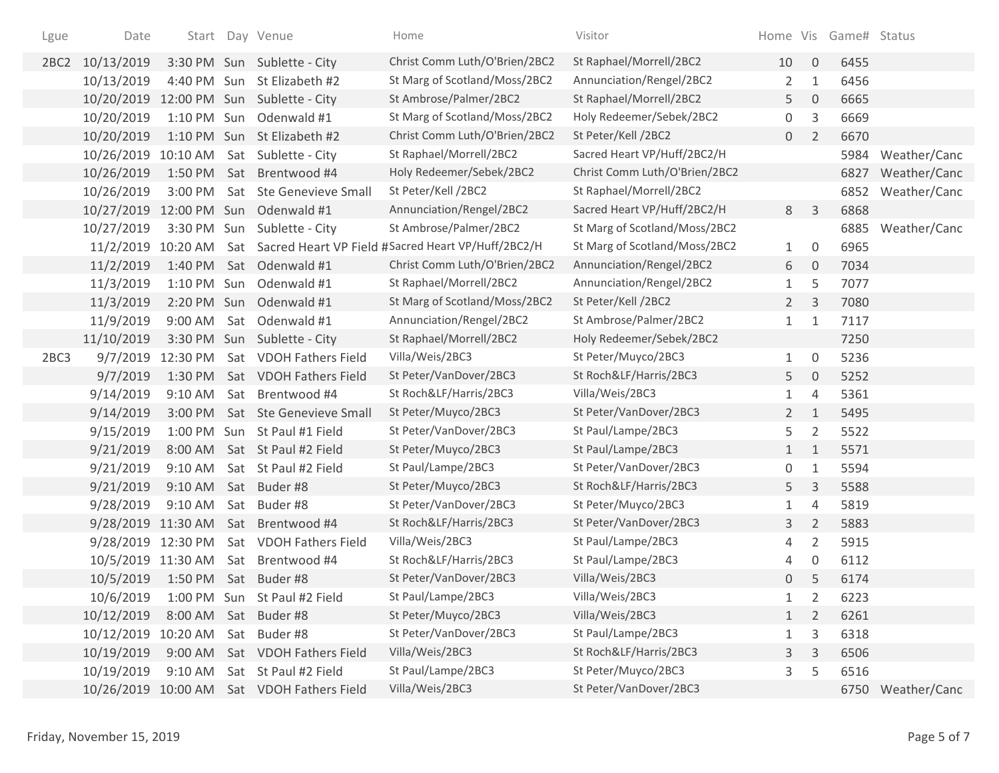| Lgue             | Date                             |                      | Start Day Venue                            | Home                                                   | Visitor                       |                |                | Home Vis Game# Status |                   |
|------------------|----------------------------------|----------------------|--------------------------------------------|--------------------------------------------------------|-------------------------------|----------------|----------------|-----------------------|-------------------|
| 2BC <sub>2</sub> | 10/13/2019                       |                      | 3:30 PM Sun Sublette - City                | Christ Comm Luth/O'Brien/2BC2                          | St Raphael/Morrell/2BC2       | 10             | $\overline{0}$ | 6455                  |                   |
|                  | 10/13/2019                       |                      | 4:40 PM Sun St Elizabeth #2                | St Marg of Scotland/Moss/2BC2                          | Annunciation/Rengel/2BC2      | 2              | $\mathbf{1}$   | 6456                  |                   |
|                  | 10/20/2019                       |                      | 12:00 PM Sun Sublette - City               | St Ambrose/Palmer/2BC2                                 | St Raphael/Morrell/2BC2       | 5              | $\mathbf{0}$   | 6665                  |                   |
|                  | 10/20/2019                       |                      | 1:10 PM Sun Odenwald #1                    | St Marg of Scotland/Moss/2BC2                          | Holy Redeemer/Sebek/2BC2      | 0              | 3              | 6669                  |                   |
|                  | 10/20/2019                       |                      | 1:10 PM Sun St Elizabeth #2                | Christ Comm Luth/O'Brien/2BC2                          | St Peter/Kell /2BC2           | $\overline{0}$ | $\overline{2}$ | 6670                  |                   |
|                  | 10/26/2019 10:10 AM              |                      | Sat Sublette - City                        | St Raphael/Morrell/2BC2                                | Sacred Heart VP/Huff/2BC2/H   |                |                | 5984                  | Weather/Canc      |
|                  | 10/26/2019                       |                      | 1:50 PM Sat Brentwood #4                   | Holy Redeemer/Sebek/2BC2                               | Christ Comm Luth/O'Brien/2BC2 |                |                | 6827                  | Weather/Canc      |
|                  | 10/26/2019                       | 3:00 PM              | Sat Ste Genevieve Small                    | St Peter/Kell /2BC2                                    | St Raphael/Morrell/2BC2       |                |                | 6852                  | Weather/Canc      |
|                  | 10/27/2019                       |                      | 12:00 PM Sun Odenwald #1                   | Annunciation/Rengel/2BC2                               | Sacred Heart VP/Huff/2BC2/H   | 8              | 3              | 6868                  |                   |
|                  | 10/27/2019                       | 3:30 PM Sun          | Sublette - City                            | St Ambrose/Palmer/2BC2                                 | St Marg of Scotland/Moss/2BC2 |                |                | 6885                  | Weather/Canc      |
|                  | 11/2/2019 10:20 AM               |                      |                                            | Sat Sacred Heart VP Field #Sacred Heart VP/Huff/2BC2/H | St Marg of Scotland/Moss/2BC2 | 1              | $\overline{0}$ | 6965                  |                   |
|                  | 11/2/2019                        | 1:40 PM              | Sat Odenwald #1                            | Christ Comm Luth/O'Brien/2BC2                          | Annunciation/Rengel/2BC2      | 6              | $\overline{0}$ | 7034                  |                   |
|                  | 11/3/2019                        |                      | 1:10 PM Sun Odenwald #1                    | St Raphael/Morrell/2BC2                                | Annunciation/Rengel/2BC2      | $\mathbf{1}$   | 5              | 7077                  |                   |
|                  | 11/3/2019                        |                      | 2:20 PM Sun Odenwald #1                    | St Marg of Scotland/Moss/2BC2                          | St Peter/Kell /2BC2           | $\overline{2}$ | 3              | 7080                  |                   |
|                  | 11/9/2019                        | 9:00 AM              | Sat Odenwald #1                            | Annunciation/Rengel/2BC2                               | St Ambrose/Palmer/2BC2        | $\mathbf{1}$   | $\mathbf{1}$   | 7117                  |                   |
|                  | 11/10/2019                       |                      | 3:30 PM Sun Sublette - City                | St Raphael/Morrell/2BC2                                | Holy Redeemer/Sebek/2BC2      |                |                | 7250                  |                   |
| 2BC3             | 9/7/2019                         | 12:30 PM             | Sat VDOH Fathers Field                     | Villa/Weis/2BC3                                        | St Peter/Muyco/2BC3           | $\mathbf{1}$   | $\overline{0}$ | 5236                  |                   |
|                  | 9/7/2019                         | 1:30 PM              | Sat VDOH Fathers Field                     | St Peter/VanDover/2BC3                                 | St Roch&LF/Harris/2BC3        | 5              | $\mathbf{0}$   | 5252                  |                   |
|                  | 9/14/2019                        | $9:10$ AM            | Sat Brentwood #4                           | St Roch&LF/Harris/2BC3                                 | Villa/Weis/2BC3               | 1              | 4              | 5361                  |                   |
|                  | 9/14/2019                        | 3:00 PM              | Sat Ste Genevieve Small                    | St Peter/Muyco/2BC3                                    | St Peter/VanDover/2BC3        | $\mathbf{2}$   | 1              | 5495                  |                   |
|                  | 9/15/2019                        |                      | 1:00 PM Sun St Paul #1 Field               | St Peter/VanDover/2BC3                                 | St Paul/Lampe/2BC3            | 5              | $\overline{2}$ | 5522                  |                   |
|                  | 9/21/2019                        | 8:00 AM              | Sat St Paul #2 Field                       | St Peter/Muyco/2BC3                                    | St Paul/Lampe/2BC3            | $\mathbf{1}$   | $\mathbf{1}$   | 5571                  |                   |
|                  | 9/21/2019                        | 9:10 AM              | Sat St Paul #2 Field                       | St Paul/Lampe/2BC3                                     | St Peter/VanDover/2BC3        | 0              | 1              | 5594                  |                   |
|                  | 9/21/2019                        | 9:10 AM              | Sat Buder#8                                | St Peter/Muyco/2BC3                                    | St Roch&LF/Harris/2BC3        | 5              | 3              | 5588                  |                   |
|                  | 9/28/2019                        | $9:10$ AM            | Sat Buder#8                                | St Peter/VanDover/2BC3                                 | St Peter/Muyco/2BC3           | 1              | 4              | 5819                  |                   |
|                  | 9/28/2019 11:30 AM               |                      | Sat Brentwood #4                           | St Roch&LF/Harris/2BC3                                 | St Peter/VanDover/2BC3        | 3              | $\overline{2}$ | 5883                  |                   |
|                  | 9/28/2019 12:30 PM               |                      | Sat VDOH Fathers Field                     | Villa/Weis/2BC3                                        | St Paul/Lampe/2BC3            | 4              | 2              | 5915                  |                   |
|                  |                                  |                      | 10/5/2019 11:30 AM Sat Brentwood #4        | St Roch&LF/Harris/2BC3                                 | St Paul/Lampe/2BC3            | 4              | 0              | 6112                  |                   |
|                  | 10/5/2019                        | 1:50 PM Sat Buder #8 |                                            | St Peter/VanDover/2BC3                                 | Villa/Weis/2BC3               | $\overline{0}$ | 5              | 6174                  |                   |
|                  | 10/6/2019                        |                      | 1:00 PM Sun St Paul #2 Field               | St Paul/Lampe/2BC3                                     | Villa/Weis/2BC3               | 1              | 2              | 6223                  |                   |
|                  | 10/12/2019                       |                      | 8:00 AM Sat Buder #8                       | St Peter/Muyco/2BC3                                    | Villa/Weis/2BC3               | $\mathbf{1}$   | $\overline{2}$ | 6261                  |                   |
|                  | 10/12/2019 10:20 AM Sat Buder #8 |                      |                                            | St Peter/VanDover/2BC3                                 | St Paul/Lampe/2BC3            | $\mathbf{1}$   | 3              | 6318                  |                   |
|                  | 10/19/2019                       | 9:00 AM              | Sat VDOH Fathers Field                     | Villa/Weis/2BC3                                        | St Roch&LF/Harris/2BC3        | 3              | 3              | 6506                  |                   |
|                  | 10/19/2019                       | $9:10$ AM            | Sat St Paul #2 Field                       | St Paul/Lampe/2BC3                                     | St Peter/Muyco/2BC3           | 3              | 5              | 6516                  |                   |
|                  |                                  |                      | 10/26/2019 10:00 AM Sat VDOH Fathers Field | Villa/Weis/2BC3                                        | St Peter/VanDover/2BC3        |                |                |                       | 6750 Weather/Canc |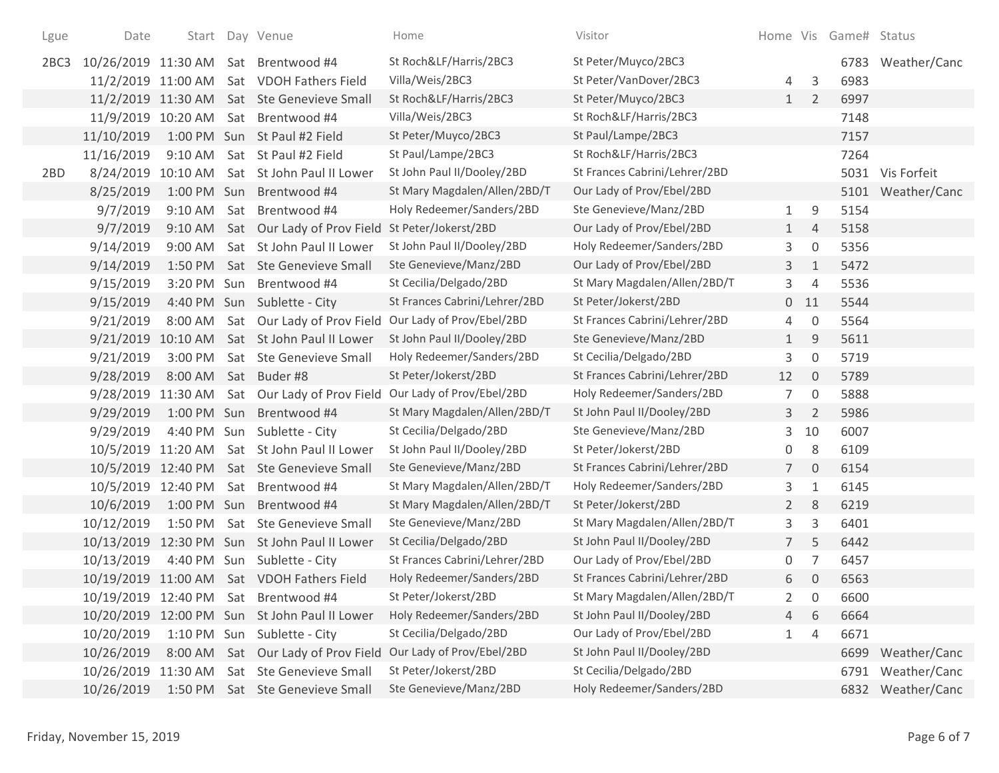| Lgue | Date               |             | Start Day Venue                            | Home                                                 | Visitor                       |                |                | Home Vis Game# Status |                   |
|------|--------------------|-------------|--------------------------------------------|------------------------------------------------------|-------------------------------|----------------|----------------|-----------------------|-------------------|
| 2BC3 |                    |             | 10/26/2019 11:30 AM Sat Brentwood #4       | St Roch&LF/Harris/2BC3                               | St Peter/Muyco/2BC3           |                |                |                       | 6783 Weather/Canc |
|      |                    |             | 11/2/2019 11:00 AM Sat VDOH Fathers Field  | Villa/Weis/2BC3                                      | St Peter/VanDover/2BC3        | 4              | 3              | 6983                  |                   |
|      |                    |             | 11/2/2019 11:30 AM Sat Ste Genevieve Small | St Roch&LF/Harris/2BC3                               | St Peter/Muyco/2BC3           | 1              | $\overline{2}$ | 6997                  |                   |
|      |                    |             | 11/9/2019 10:20 AM Sat Brentwood #4        | Villa/Weis/2BC3                                      | St Roch&LF/Harris/2BC3        |                |                | 7148                  |                   |
|      | 11/10/2019         |             | 1:00 PM Sun St Paul #2 Field               | St Peter/Muyco/2BC3                                  | St Paul/Lampe/2BC3            |                |                | 7157                  |                   |
|      | 11/16/2019         | $9:10$ AM   | Sat St Paul #2 Field                       | St Paul/Lampe/2BC3                                   | St Roch&LF/Harris/2BC3        |                |                | 7264                  |                   |
| 2BD  | 8/24/2019          | 10:10 AM    | Sat St John Paul II Lower                  | St John Paul II/Dooley/2BD                           | St Frances Cabrini/Lehrer/2BD |                |                |                       | 5031 Vis Forfeit  |
|      | 8/25/2019          |             | 1:00 PM Sun Brentwood #4                   | St Mary Magdalen/Allen/2BD/T                         | Our Lady of Prov/Ebel/2BD     |                |                |                       | 5101 Weather/Canc |
|      | 9/7/2019           | $9:10$ AM   | Sat Brentwood #4                           | Holy Redeemer/Sanders/2BD                            | Ste Genevieve/Manz/2BD        | 1              | 9              | 5154                  |                   |
|      | 9/7/2019           | 9:10 AM     | Sat Our Lady of Prov Field                 | St Peter/Jokerst/2BD                                 | Our Lady of Prov/Ebel/2BD     | 1              | $\overline{4}$ | 5158                  |                   |
|      | 9/14/2019          | $9:00$ AM   | Sat St John Paul II Lower                  | St John Paul II/Dooley/2BD                           | Holy Redeemer/Sanders/2BD     | 3              | $\mathbf 0$    | 5356                  |                   |
|      | 9/14/2019          | 1:50 PM     | Sat Ste Genevieve Small                    | Ste Genevieve/Manz/2BD                               | Our Lady of Prov/Ebel/2BD     | 3              | 1              | 5472                  |                   |
|      | 9/15/2019          |             | 3:20 PM Sun Brentwood #4                   | St Cecilia/Delgado/2BD                               | St Mary Magdalen/Allen/2BD/T  | 3              | $\overline{4}$ | 5536                  |                   |
|      | 9/15/2019          |             | 4:40 PM Sun Sublette - City                | St Frances Cabrini/Lehrer/2BD                        | St Peter/Jokerst/2BD          |                | $0$ 11         | 5544                  |                   |
|      | 9/21/2019          | 8:00 AM     |                                            | Sat Our Lady of Prov Field Our Lady of Prov/Ebel/2BD | St Frances Cabrini/Lehrer/2BD | 4              | $\overline{0}$ | 5564                  |                   |
|      | 9/21/2019          | 10:10 AM    | Sat St John Paul II Lower                  | St John Paul II/Dooley/2BD                           | Ste Genevieve/Manz/2BD        | $\mathbf{1}$   | 9              | 5611                  |                   |
|      | 9/21/2019          | 3:00 PM     | Sat Ste Genevieve Small                    | Holy Redeemer/Sanders/2BD                            | St Cecilia/Delgado/2BD        | 3              | $\mathbf 0$    | 5719                  |                   |
|      | 9/28/2019          | 8:00 AM     | Sat Buder#8                                | St Peter/Jokerst/2BD                                 | St Frances Cabrini/Lehrer/2BD | 12             | $\mathbf{0}$   | 5789                  |                   |
|      | 9/28/2019          | 11:30 AM    |                                            | Sat Our Lady of Prov Field Our Lady of Prov/Ebel/2BD | Holy Redeemer/Sanders/2BD     | 7              | 0              | 5888                  |                   |
|      | 9/29/2019          |             | 1:00 PM Sun Brentwood #4                   | St Mary Magdalen/Allen/2BD/T                         | St John Paul II/Dooley/2BD    | 3              | 2              | 5986                  |                   |
|      | 9/29/2019          | 4:40 PM Sun | Sublette - City                            | St Cecilia/Delgado/2BD                               | Ste Genevieve/Manz/2BD        | 3              | 10             | 6007                  |                   |
|      | 10/5/2019 11:20 AM |             | Sat St John Paul II Lower                  | St John Paul II/Dooley/2BD                           | St Peter/Jokerst/2BD          | 0              | 8              | 6109                  |                   |
|      |                    |             | 10/5/2019 12:40 PM Sat Ste Genevieve Small | Ste Genevieve/Manz/2BD                               | St Frances Cabrini/Lehrer/2BD | $7^{\circ}$    | $\mathbf{0}$   | 6154                  |                   |
|      | 10/5/2019 12:40 PM |             | Sat Brentwood #4                           | St Mary Magdalen/Allen/2BD/T                         | Holy Redeemer/Sanders/2BD     | 3              | $\mathbf{1}$   | 6145                  |                   |
|      | 10/6/2019          |             | 1:00 PM Sun Brentwood #4                   | St Mary Magdalen/Allen/2BD/T                         | St Peter/Jokerst/2BD          | $\overline{2}$ | 8              | 6219                  |                   |
|      | 10/12/2019         | 1:50 PM     | Sat Ste Genevieve Small                    | Ste Genevieve/Manz/2BD                               | St Mary Magdalen/Allen/2BD/T  | 3              | 3              | 6401                  |                   |
|      | 10/13/2019         |             | 12:30 PM Sun St John Paul II Lower         | St Cecilia/Delgado/2BD                               | St John Paul II/Dooley/2BD    | $\overline{7}$ | 5              | 6442                  |                   |
|      | 10/13/2019         | 4:40 PM Sun | Sublette - City                            | St Frances Cabrini/Lehrer/2BD                        | Our Lady of Prov/Ebel/2BD     | 0              | 7              | 6457                  |                   |
|      |                    |             | 10/19/2019 11:00 AM Sat VDOH Fathers Field | Holy Redeemer/Sanders/2BD                            | St Frances Cabrini/Lehrer/2BD | 6              | $\mathbf 0$    | 6563                  |                   |
|      |                    |             | 10/19/2019 12:40 PM Sat Brentwood #4       | St Peter/Jokerst/2BD                                 | St Mary Magdalen/Allen/2BD/T  | 2              | 0              | 6600                  |                   |
|      | 10/20/2019         |             | 12:00 PM Sun St John Paul II Lower         | Holy Redeemer/Sanders/2BD                            | St John Paul II/Dooley/2BD    | $\overline{4}$ | 6              | 6664                  |                   |
|      | 10/20/2019         |             | 1:10 PM Sun Sublette - City                | St Cecilia/Delgado/2BD                               | Our Lady of Prov/Ebel/2BD     | 1              | 4              | 6671                  |                   |
|      | 10/26/2019         | 8:00 AM     |                                            | Sat Our Lady of Prov Field Our Lady of Prov/Ebel/2BD | St John Paul II/Dooley/2BD    |                |                |                       | 6699 Weather/Canc |
|      | 10/26/2019         | 11:30 AM    | Sat Ste Genevieve Small                    | St Peter/Jokerst/2BD                                 | St Cecilia/Delgado/2BD        |                |                | 6791                  | Weather/Canc      |
|      | 10/26/2019         | 1:50 PM     | Sat Ste Genevieve Small                    | Ste Genevieve/Manz/2BD                               | Holy Redeemer/Sanders/2BD     |                |                |                       | 6832 Weather/Canc |